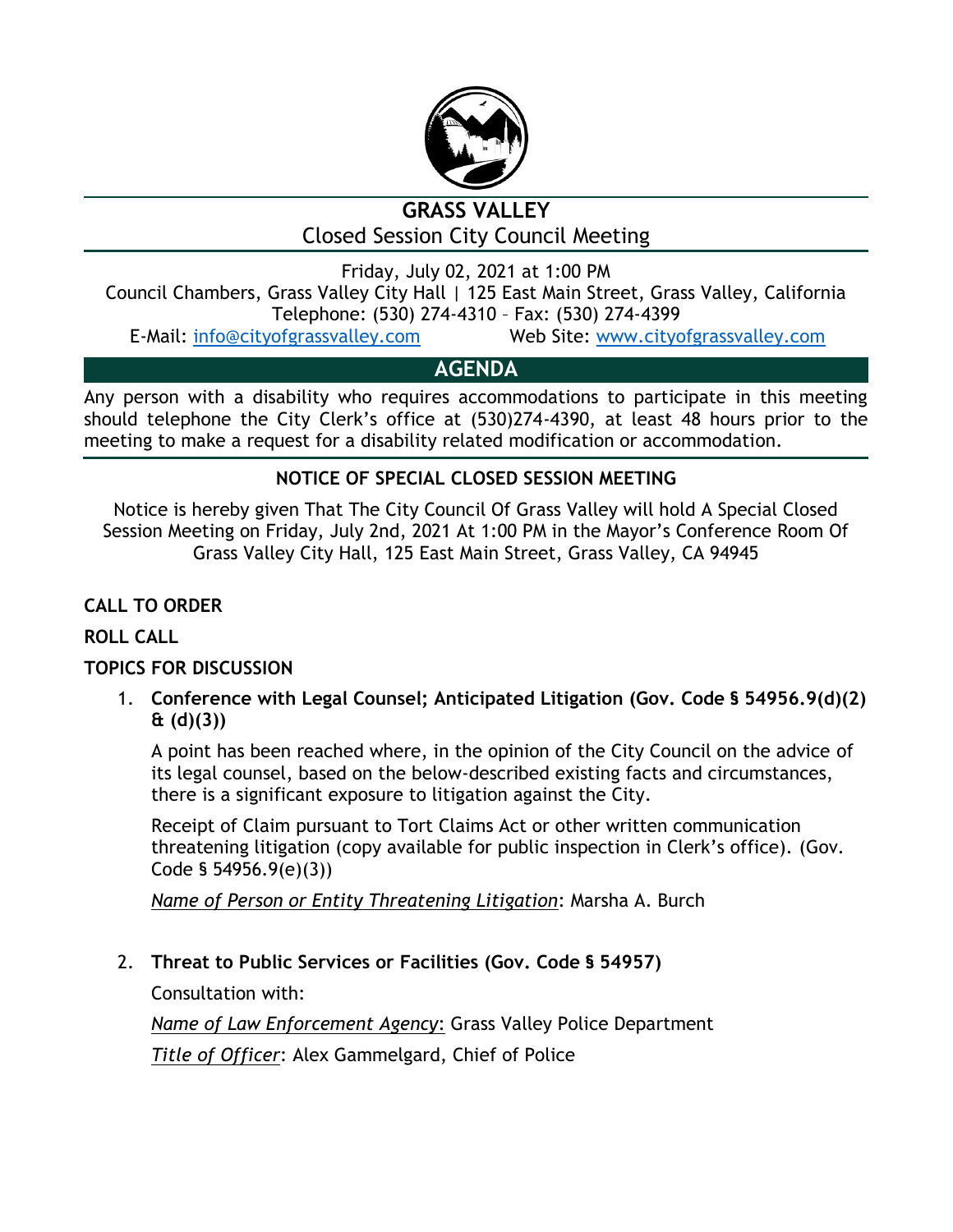

# **GRASS VALLEY** Closed Session City Council Meeting

Friday, July 02, 2021 at 1:00 PM Council Chambers, Grass Valley City Hall | 125 East Main Street, Grass Valley, California

Telephone: (530) 274-4310 – Fax: (530) 274-4399

E-Mail: [info@cityofgrassvalley.com](mailto:info@cityofgrassvalley.com) Web Site: [www.cityofgrassvalley.com](http://www.cityofgrassvalley.com/)

# **AGENDA**

Any person with a disability who requires accommodations to participate in this meeting should telephone the City Clerk's office at (530)274-4390, at least 48 hours prior to the meeting to make a request for a disability related modification or accommodation.

### **NOTICE OF SPECIAL CLOSED SESSION MEETING**

Notice is hereby given That The City Council Of Grass Valley will hold A Special Closed Session Meeting on Friday, July 2nd, 2021 At 1:00 PM in the Mayor's Conference Room Of Grass Valley City Hall, 125 East Main Street, Grass Valley, CA 94945

**CALL TO ORDER**

### **ROLL CALL**

#### **TOPICS FOR DISCUSSION**

1. **Conference with Legal Counsel; Anticipated Litigation (Gov. Code § 54956.9(d)(2) & (d)(3))**

A point has been reached where, in the opinion of the City Council on the advice of its legal counsel, based on the below-described existing facts and circumstances, there is a significant exposure to litigation against the City.

Receipt of Claim pursuant to Tort Claims Act or other written communication threatening litigation (copy available for public inspection in Clerk's office). (Gov. Code § 54956.9(e)(3))

*Name of Person or Entity Threatening Litigation*: Marsha A. Burch

### 2. **Threat to Public Services or Facilities (Gov. Code § 54957)**

Consultation with:

*Name of Law Enforcement Agency*: Grass Valley Police Department

*Title of Officer*: Alex Gammelgard, Chief of Police